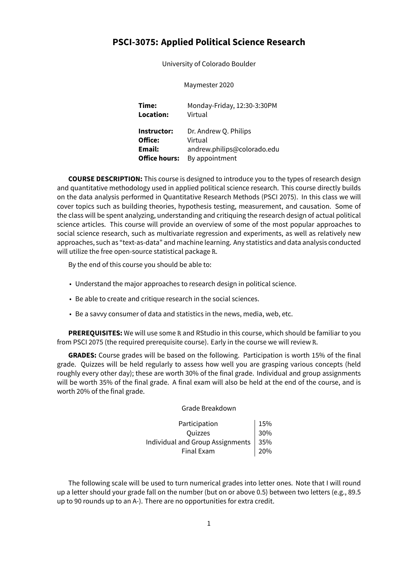# **PSCI-3075: Applied Political Science Research**

University of Colorado Boulder

Maymester 2020

**Time:** Monday-Friday, 12:30-3:30PM **Location:** Virtual **Instructor:** Dr. Andrew Q. Philips **Office:** Virtual **Email:** andrew.philips@colorado.edu **Office hours:** By appointment

**COURSE DESCRIPTION:** This course is designed to introduce you to the types of research design and quantitative methodology used in applied political science research. This course directly builds on the data analysis performed in Quantitative Research Methods (PSCI 2075). In this class we will cover topics such as building theories, hypothesis testing, measurement, and causation. Some of the class will be spent analyzing, understanding and critiquing the research design of actual political science articles. This course will provide an overview of some of the most popular approaches to social science research, such as multivariate regression and experiments, as well as relatively new approaches, such as "text-as-data" and machine learning. Any statistics and data analysis conducted will utilize the free open-source statistical package R.

By the end of this course you should be able to:

- Understand the major approaches to research design in political science.
- Be able to create and critique research in the social sciences.
- Be a savvy consumer of data and statistics in the news, media, web, etc.

**PREREQUISITES:** We will use some R and RStudio in this course, which should be familiar to you from PSCI 2075 (the required prerequisite course). Early in the course we will review R.

**GRADES:** Course grades will be based on the following. Participation is worth 15% of the final grade. Quizzes will be held regularly to assess how well you are grasping various concepts (held roughly every other day); these are worth 30% of the final grade. Individual and group assignments will be worth 35% of the final grade. A final exam will also be held at the end of the course, and is worth 20% of the final grade.

Grade Breakdown

| Participation                          | 15% |
|----------------------------------------|-----|
| <b>Ouizzes</b>                         | 30% |
| Individual and Group Assignments   35% |     |
| <b>Final Exam</b>                      | 20% |

The following scale will be used to turn numerical grades into letter ones. Note that I will round up a letter should your grade fall on the number (but on or above 0.5) between two letters (e.g., 89.5 up to 90 rounds up to an A-). There are no opportunities for extra credit.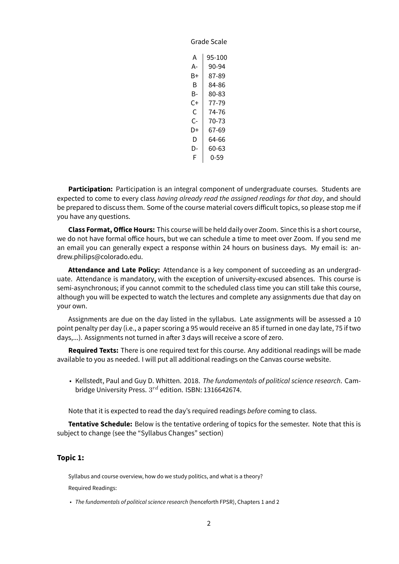| А   | 95-100 |  |
|-----|--------|--|
| А-  | 90-94  |  |
| B+  | 87-89  |  |
| B   | 84-86  |  |
| B-  | 80-83  |  |
| C+  | 77-79  |  |
| C   | 74-76  |  |
| C-  | 70-73  |  |
| D+  | 67-69  |  |
| D   | 64-66  |  |
| כו- | 60-63  |  |
| F   | 0-59   |  |
|     |        |  |

Grade Scale

**Participation:** Participation is an integral component of undergraduate courses. Students are expected to come to every class *having already read the assigned readings for that day*, and should be prepared to discuss them. Some of the course material covers difficult topics, so please stop me if you have any questions.

**Class Format, Office Hours:** This course will be held daily over Zoom. Since this is a short course, we do not have formal office hours, but we can schedule a time to meet over Zoom. If you send me an email you can generally expect a response within 24 hours on business days. My email is: andrew.philips@colorado.edu.

**Attendance and Late Policy:** Attendance is a key component of succeeding as an undergraduate. Attendance is mandatory, with the exception of university-excused absences. This course is semi-asynchronous; if you cannot commit to the scheduled class time you can still take this course, although you will be expected to watch the lectures and complete any assignments due that day on your own.

Assignments are due on the day listed in the syllabus. Late assignments will be assessed a 10 point penalty per day (i.e., a paper scoring a 95 would receive an 85 if turned in one day late, 75 if two days,...). Assignments not turned in after 3 days will receive a score of zero.

**Required Texts:** There is one required text for this course. Any additional readings will be made available to you as needed. I will put all additional readings on the Canvas course website.

• Kellstedt, Paul and Guy D. Whitten. 2018. *The fundamentals of political science research*. Cambridge University Press.  $3^{rd}$  edition. ISBN: 1316642674.

Note that it is expected to read the day's required readings *before* coming to class.

**Tentative Schedule:** Below is the tentative ordering of topics for the semester. Note that this is subject to change (see the "Syllabus Changes" section)

# **Topic 1:**

Syllabus and course overview, how do we study politics, and what is a theory?

Required Readings:

• *The fundamentals of political science research* (henceforth FPSR), Chapters 1 and 2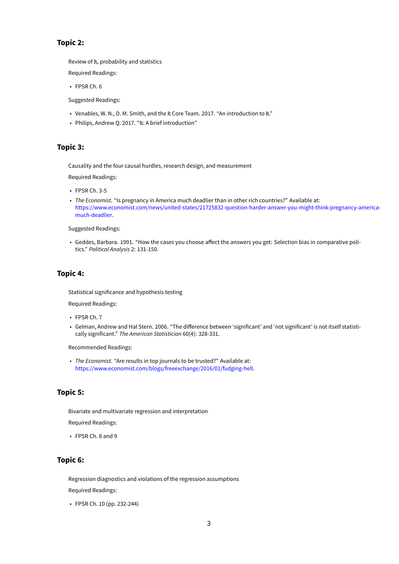# **Topic 2:**

Review of R, probability and statistics

Required Readings:

• FPSR Ch. 6

Suggested Readings:

- Venables, W. N., D. M. Smith, and the R Core Team. 2017. "An introduction to R."
- Philips, Andrew Q. 2017. "R: A brief introduction"

#### **Topic 3:**

Causality and the four causal hurdles, research design, and measurement

Required Readings:

- FPSR Ch. 3-5
- *The Economist*. "Is pregnancy in America much deadlier than in other rich countries?" Available at: https://www.economist.com/news/united-states/21725832-question-harder-answer-you-might-think-pregnancy-americamuch-deadlier.

Suggested Readings:

• [Geddes, Barbara. 1991. "How the cases you choose affect the answers you get: Selection bias in comparative poli](https://www.economist.com/news/united-states/21725832-question-harder-answer-you-might-think-pregnancy-america-much-deadlier)tics." *[Political A](https://www.economist.com/news/united-states/21725832-question-harder-answer-you-might-think-pregnancy-america-much-deadlier)nalysis* 2: 131-150.

# **Topic 4:**

Statistical significance and hypothesis testing

Required Readings:

- FPSR Ch. 7
- Gelman, Andrew and Hal Stern. 2006. "The difference between 'significant' and 'not significant' is not itself statistically significant." *The American Statistician* 60(4): 328-331.

Recommended Readings:

• *The Economist*. "Are results in top journals to be trusted?" Available at: https://www.economist.com/blogs/freeexchange/2016/01/fudging-hell.

# **Topic 5:**

Bivariate and multivariate regression and interpretation

Required Readings:

• FPSR Ch. 8 and 9

# **Topic 6:**

Regression diagnostics and violations of the regression assumptions Required Readings:

• FPSR Ch. 10 (pp. 232-244)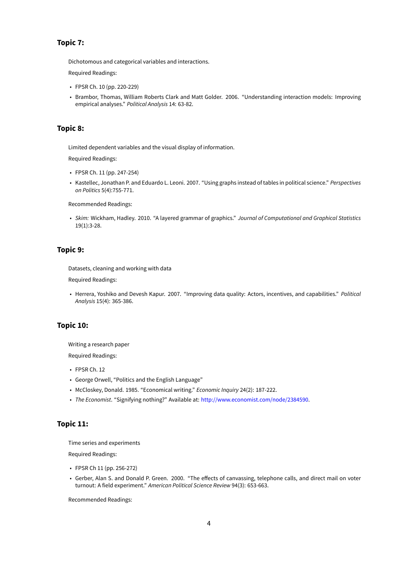# **Topic 7:**

Dichotomous and categorical variables and interactions.

Required Readings:

- FPSR Ch. 10 (pp. 220-229)
- Brambor, Thomas, William Roberts Clark and Matt Golder. 2006. "Understanding interaction models: Improving empirical analyses." *Political Analysis* 14: 63-82.

# **Topic 8:**

Limited dependent variables and the visual display of information.

Required Readings:

- FPSR Ch. 11 (pp. 247-254)
- Kastellec, Jonathan P. and Eduardo L. Leoni. 2007. "Using graphs instead of tables in political science." *Perspectives on Politics* 5(4):755-771.

Recommended Readings:

• *Skim:* Wickham, Hadley. 2010. "A layered grammar of graphics." *Journal of Computational and Graphical Statistics* 19(1):3-28.

#### **Topic 9:**

Datasets, cleaning and working with data

Required Readings:

• Herrera, Yoshiko and Devesh Kapur. 2007. "Improving data quality: Actors, incentives, and capabilities." *Political Analysis* 15(4): 365-386.

## **Topic 10:**

Writing a research paper

Required Readings:

- FPSR Ch. 12
- George Orwell, "Politics and the English Language"
- McCloskey, Donald. 1985. "Economical writing." *Economic Inquiry* 24(2): 187-222.
- *The Economist*. "Signifying nothing?" Available at: http://www.economist.com/node/2384590.

# **Topic 11:**

Time series and experiments

Required Readings:

- FPSR Ch 11 (pp. 256-272)
- Gerber, Alan S. and Donald P. Green. 2000. "The effects of canvassing, telephone calls, and direct mail on voter turnout: A field experiment." *American Political Science Review* 94(3): 653-663.

Recommended Readings: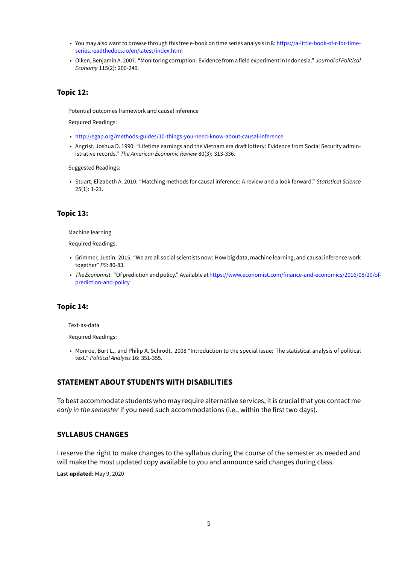- You may also want to browse through this free e-book on time series analysis in R: https://a-little-book-of-r-for-timeseries.readthedocs.io/en/latest/index.html
- Olken, Benjamin A. 2007. "Monitoring corruption: Evidencefrom afield experiment in Indonesia." *Journal of Political Economy* 115(2): 200-249.

# **Topic 12:**

Potential outcomes framework and causal inference

Required Readings:

- http://egap.org/methods-guides/10-things-you-need-know-about-causal-inference
- Angrist, Joshua D. 1990. "Lifetime earnings and the Vietnam era draft lottery: Evidence from Social Security administrative records." *The American Economic Review* 80(3): 313-336.

Su[ggested Readings:](http://egap.org/methods-guides/10-things-you-need-know-about-causal-inference)

• Stuart, Elizabeth A. 2010. "Matching methods for causal inference: A review and a look forward." *Statistical Science* 25(1): 1-21.

#### **Topic 13:**

Machine learning

Required Readings:

- Grimmer, Justin. 2015. "We are all social scientists now: How big data, machine learning, and causal inference work together" *PS*: 80-83.
- *The Economist.* "Of prediction and policy." Available athttps://www.economist.com/finance-and-economics/2016/08/20/ofprediction-and-policy

#### **Topic 14:**

Text-as-data

Required Readings:

• Monroe, Burt L., and Philip A. Schrodt. 2008 "Introduction to the special issue: The statistical analysis of political text." *Political Analysis* 16: 351-355.

#### **STATEMENT ABOUT STUDENTS WITH DISABILITIES**

To best accommodate students who may require alternative services, it is crucial that you contact me *early in the semester* if you need such accommodations (i.e., within the first two days).

#### **SYLLABUS CHANGES**

I reserve the right to make changes to the syllabus during the course of the semester as needed and will make the most updated copy available to you and announce said changes during class.

**Last updated**: May 9, 2020